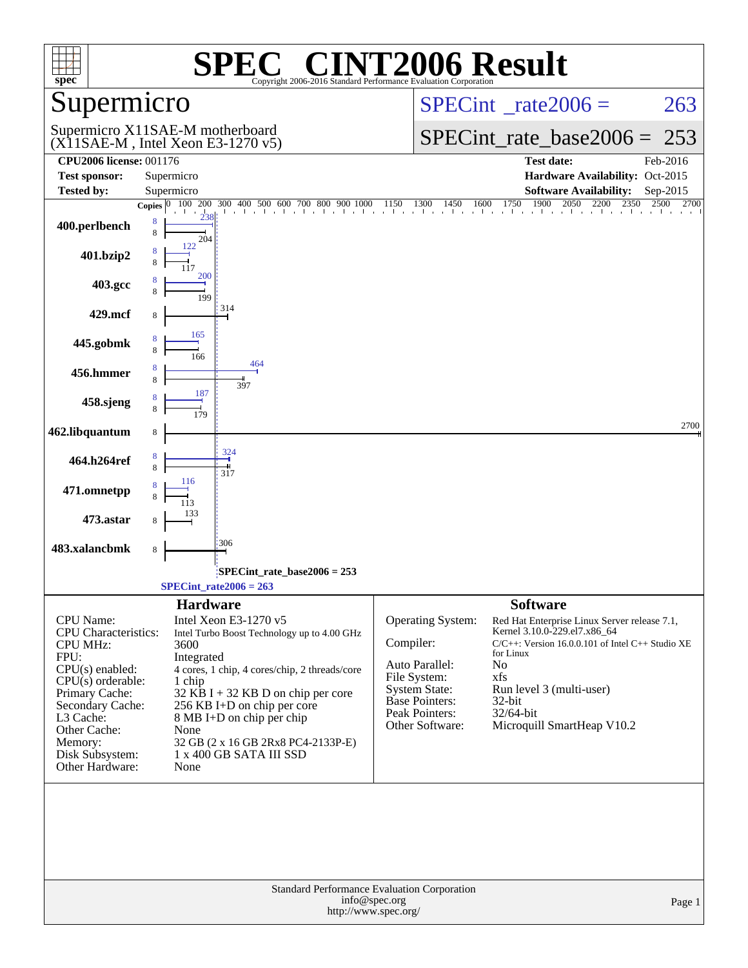| $spec^*$                       |                                                                         | <b>SPEC<sup>®</sup> CINT2006 Result</b><br>Copyright 2006-2016 Standard Performance Evaluation Corporation |                                                                                      |                                                                                                                                                                                           |          |
|--------------------------------|-------------------------------------------------------------------------|------------------------------------------------------------------------------------------------------------|--------------------------------------------------------------------------------------|-------------------------------------------------------------------------------------------------------------------------------------------------------------------------------------------|----------|
| Supermicro                     |                                                                         |                                                                                                            |                                                                                      | $SPECint^{\circ}$ rate $2006 =$                                                                                                                                                           | 263      |
|                                | Supermicro X11SAE-M motherboard<br>$(X11SAE-M$ , Intel Xeon E3-1270 v5) |                                                                                                            |                                                                                      | $SPECint_rate_base2006 =$                                                                                                                                                                 | 253      |
| <b>CPU2006 license: 001176</b> |                                                                         |                                                                                                            |                                                                                      | <b>Test date:</b>                                                                                                                                                                         | Feb-2016 |
| <b>Test sponsor:</b>           | Supermicro                                                              |                                                                                                            |                                                                                      | Hardware Availability: Oct-2015                                                                                                                                                           |          |
| <b>Tested by:</b>              | Supermicro                                                              |                                                                                                            |                                                                                      | <b>Software Availability:</b>                                                                                                                                                             | Sep-2015 |
|                                |                                                                         |                                                                                                            |                                                                                      | <b>Copies</b> $\begin{bmatrix} 0 & 100 & 200 & 300 & 400 & 500 & 600 & 700 & 800 & 900 & 1000 & 1150 & 1300 & 1450 & 1600 & 1750 & 1900 & 2050 & 2200 & 2350 & 2500 & 2700 \end{bmatrix}$ | 2700     |
| 400.perlbench                  | 8<br>8<br>204                                                           |                                                                                                            |                                                                                      |                                                                                                                                                                                           |          |
| 401.bzip2                      | 122                                                                     |                                                                                                            |                                                                                      |                                                                                                                                                                                           |          |
| 403.gcc                        | 200<br>199                                                              |                                                                                                            |                                                                                      |                                                                                                                                                                                           |          |
| 429.mcf                        | 314                                                                     |                                                                                                            |                                                                                      |                                                                                                                                                                                           |          |
| 445.gobmk                      | 165<br>166                                                              |                                                                                                            |                                                                                      |                                                                                                                                                                                           |          |
| 456.hmmer                      |                                                                         | 464<br>397                                                                                                 |                                                                                      |                                                                                                                                                                                           |          |
| 458.sjeng                      | 187                                                                     |                                                                                                            |                                                                                      |                                                                                                                                                                                           |          |
| 462.libquantum                 | 8                                                                       |                                                                                                            |                                                                                      |                                                                                                                                                                                           | 2700     |
| 464.h264ref                    | 324<br>317                                                              |                                                                                                            |                                                                                      |                                                                                                                                                                                           |          |
| 471.omnetpp                    | 116                                                                     |                                                                                                            |                                                                                      |                                                                                                                                                                                           |          |
| 473.astar                      |                                                                         |                                                                                                            |                                                                                      |                                                                                                                                                                                           |          |
| 483.xalancbmk                  | 306<br>8                                                                |                                                                                                            |                                                                                      |                                                                                                                                                                                           |          |
|                                |                                                                         | SPECint_rate_base2006 = 253                                                                                |                                                                                      |                                                                                                                                                                                           |          |
|                                | $SPECTnt_rate2006 = 263$                                                |                                                                                                            |                                                                                      |                                                                                                                                                                                           |          |
|                                | <b>Hardware</b>                                                         |                                                                                                            |                                                                                      | <b>Software</b>                                                                                                                                                                           |          |
| CPU Name:                      | Intel Xeon E3-1270 v5                                                   |                                                                                                            | <b>Operating System:</b>                                                             | Red Hat Enterprise Linux Server release 7.1,                                                                                                                                              |          |
| <b>CPU</b> Characteristics:    |                                                                         | Intel Turbo Boost Technology up to 4.00 GHz                                                                |                                                                                      | Kernel 3.10.0-229.el7.x86_64                                                                                                                                                              |          |
| <b>CPU MHz:</b>                | 3600                                                                    |                                                                                                            | Compiler:                                                                            | $C/C++$ : Version 16.0.0.101 of Intel $C++$ Studio XE<br>for Linux                                                                                                                        |          |
| FPU:<br>$CPU(s)$ enabled:      | Integrated                                                              | 4 cores, 1 chip, 4 cores/chip, 2 threads/core                                                              | Auto Parallel:                                                                       | No                                                                                                                                                                                        |          |
| $CPU(s)$ orderable:            | 1 chip                                                                  |                                                                                                            | File System:                                                                         | xfs                                                                                                                                                                                       |          |
| Primary Cache:                 |                                                                         | $32$ KB I + 32 KB D on chip per core                                                                       | <b>System State:</b><br>Base Pointers:                                               | Run level 3 (multi-user)<br>32-bit                                                                                                                                                        |          |
| Secondary Cache:               |                                                                         | 256 KB I+D on chip per core                                                                                | Peak Pointers:                                                                       | 32/64-bit                                                                                                                                                                                 |          |
| L3 Cache:<br>Other Cache:      | None                                                                    | 8 MB I+D on chip per chip                                                                                  | Other Software:                                                                      | Microquill SmartHeap V10.2                                                                                                                                                                |          |
| Memory:                        |                                                                         | 32 GB (2 x 16 GB 2Rx8 PC4-2133P-E)                                                                         |                                                                                      |                                                                                                                                                                                           |          |
| Disk Subsystem:                |                                                                         | 1 x 400 GB SATA III SSD                                                                                    |                                                                                      |                                                                                                                                                                                           |          |
| Other Hardware:                | None                                                                    |                                                                                                            |                                                                                      |                                                                                                                                                                                           |          |
|                                |                                                                         |                                                                                                            |                                                                                      |                                                                                                                                                                                           |          |
|                                |                                                                         |                                                                                                            | Standard Performance Evaluation Corporation<br>info@spec.org<br>http://www.spec.org/ |                                                                                                                                                                                           | Page 1   |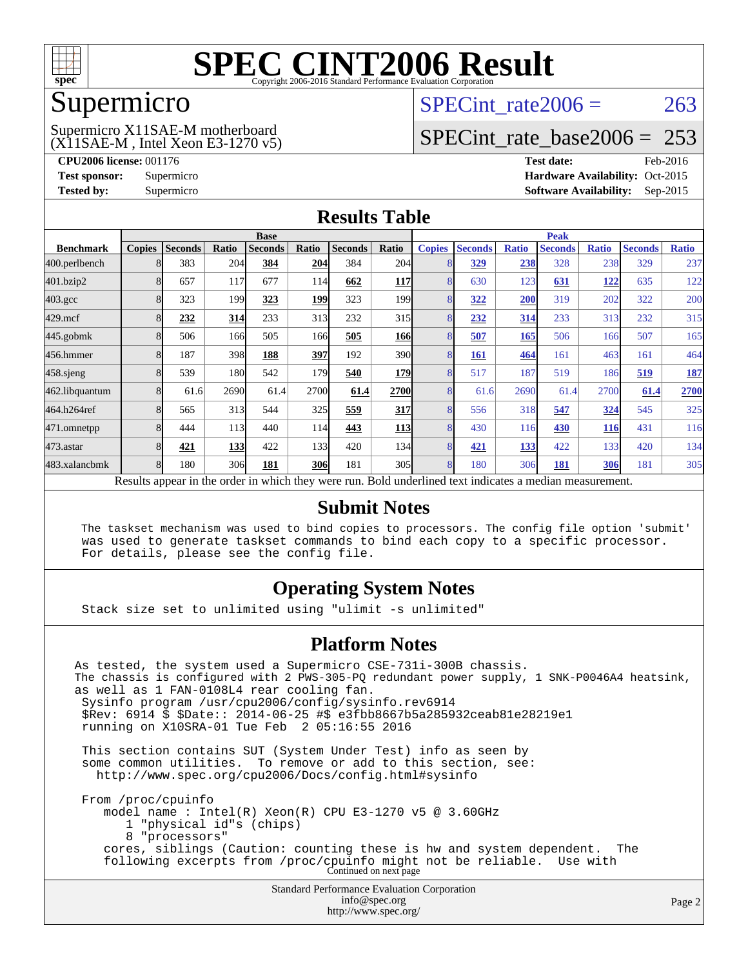

### Supermicro

### (X11SAE-M , Intel Xeon E3-1270 v5) Supermicro X11SAE-M motherboard

SPECint rate $2006 = 263$ 

### [SPECint\\_rate\\_base2006 =](http://www.spec.org/auto/cpu2006/Docs/result-fields.html#SPECintratebase2006) 253

**[CPU2006 license:](http://www.spec.org/auto/cpu2006/Docs/result-fields.html#CPU2006license)** 001176 **[Test date:](http://www.spec.org/auto/cpu2006/Docs/result-fields.html#Testdate)** Feb-2016 **[Test sponsor:](http://www.spec.org/auto/cpu2006/Docs/result-fields.html#Testsponsor)** Supermicro Supermicro **[Hardware Availability:](http://www.spec.org/auto/cpu2006/Docs/result-fields.html#HardwareAvailability)** Oct-2015 **[Tested by:](http://www.spec.org/auto/cpu2006/Docs/result-fields.html#Testedby)** Supermicro **Supermicro [Software Availability:](http://www.spec.org/auto/cpu2006/Docs/result-fields.html#SoftwareAvailability)** Sep-2015

### **[Results Table](http://www.spec.org/auto/cpu2006/Docs/result-fields.html#ResultsTable)**

|                                                                                                          | <b>Base</b>   |                |       |                |            | <b>Peak</b>    |                  |               |                |              |                |              |                |              |
|----------------------------------------------------------------------------------------------------------|---------------|----------------|-------|----------------|------------|----------------|------------------|---------------|----------------|--------------|----------------|--------------|----------------|--------------|
| <b>Benchmark</b>                                                                                         | <b>Copies</b> | <b>Seconds</b> | Ratio | <b>Seconds</b> | Ratio      | <b>Seconds</b> | Ratio            | <b>Copies</b> | <b>Seconds</b> | <b>Ratio</b> | <b>Seconds</b> | <b>Ratio</b> | <b>Seconds</b> | <b>Ratio</b> |
| 400.perlbench                                                                                            | 8             | 383            | 204   | 384            | 204        | 384            | 204              | 8             | <u>329</u>     | 238          | 328            | 238          | 329            | 237          |
| 401.bzip2                                                                                                | 8             | 657            | 117   | 677            | 114        | 662            | <b>117</b>       | 8             | 630            | 123          | 631            | <u>122</u>   | 635            | 122          |
| $403.\mathrm{gcc}$                                                                                       | 8             | 323            | 199   | 323            | 199        | 323            | 199 <sub>1</sub> | 8             | 322            | 200          | 319            | 202          | 322            | 200          |
| $429$ .mcf                                                                                               | 8             | 232            | 314   | 233            | 313        | 232            | 315              | 8             | 232            | 314          | 233            | 313          | 232            | 315          |
| $445$ .gobm $k$                                                                                          | 8             | 506            | 166   | 505            | 166        | 505            | 166              | 8             | 507            | 165          | 506            | 166          | 507            | 165          |
| 456.hmmer                                                                                                | 8             | 187            | 398   | 188            | 397        | 192            | 390              | 8             | 161            | 464          | 161            | 463          | 161            | 464          |
| $458$ .sjeng                                                                                             | 8             | 539            | 180   | 542            | 179I       | 540            | <b>179</b>       | 8             | 517            | 187          | 519            | 186          | 519            | <b>187</b>   |
| 462.libquantum                                                                                           | 8             | 61.6           | 2690  | 61.4           | 2700       | 61.4           | 2700             | 8             | 61.6           | 2690         | 61.4           | 2700         | 61.4           | 2700         |
| 464.h264ref                                                                                              | 8             | 565            | 313   | 544            | 325        | 559            | 317              | 8             | 556            | 318          | 547            | 324          | 545            | 325          |
| 471.omnetpp                                                                                              | 8             | 444            | 113   | 440            | 114        | 443            | <b>113</b>       | 8             | 430            | 116          | 430            | <b>116</b>   | 431            | 116          |
| $473$ . astar                                                                                            | 8             | 421            | 133   | 422            | 133        | 420            | 134              | 8             | 421            | 133          | 422            | 133          | 420            | 134          |
| 483.xalancbmk                                                                                            | 8             | 180            | 306   | 181            | <b>306</b> | 181            | 305 <sup>I</sup> | 8             | 180            | 306          | 181            | 306          | 181            | 305          |
| Results appear in the order in which they were run. Bold underlined text indicates a median measurement. |               |                |       |                |            |                |                  |               |                |              |                |              |                |              |

### **[Submit Notes](http://www.spec.org/auto/cpu2006/Docs/result-fields.html#SubmitNotes)**

 The taskset mechanism was used to bind copies to processors. The config file option 'submit' was used to generate taskset commands to bind each copy to a specific processor. For details, please see the config file.

### **[Operating System Notes](http://www.spec.org/auto/cpu2006/Docs/result-fields.html#OperatingSystemNotes)**

Stack size set to unlimited using "ulimit -s unlimited"

### **[Platform Notes](http://www.spec.org/auto/cpu2006/Docs/result-fields.html#PlatformNotes)**

Standard Performance Evaluation Corporation [info@spec.org](mailto:info@spec.org) As tested, the system used a Supermicro CSE-731i-300B chassis. The chassis is configured with 2 PWS-305-PQ redundant power supply, 1 SNK-P0046A4 heatsink, as well as 1 FAN-0108L4 rear cooling fan. Sysinfo program /usr/cpu2006/config/sysinfo.rev6914 \$Rev: 6914 \$ \$Date:: 2014-06-25 #\$ e3fbb8667b5a285932ceab81e28219e1 running on X10SRA-01 Tue Feb 2 05:16:55 2016 This section contains SUT (System Under Test) info as seen by some common utilities. To remove or add to this section, see: <http://www.spec.org/cpu2006/Docs/config.html#sysinfo> From /proc/cpuinfo model name : Intel(R) Xeon(R) CPU E3-1270 v5 @ 3.60GHz 1 "physical id"s (chips) 8 "processors" cores, siblings (Caution: counting these is hw and system dependent. The following excerpts from /proc/cpuinfo might not be reliable. Use with Continued on next page

<http://www.spec.org/>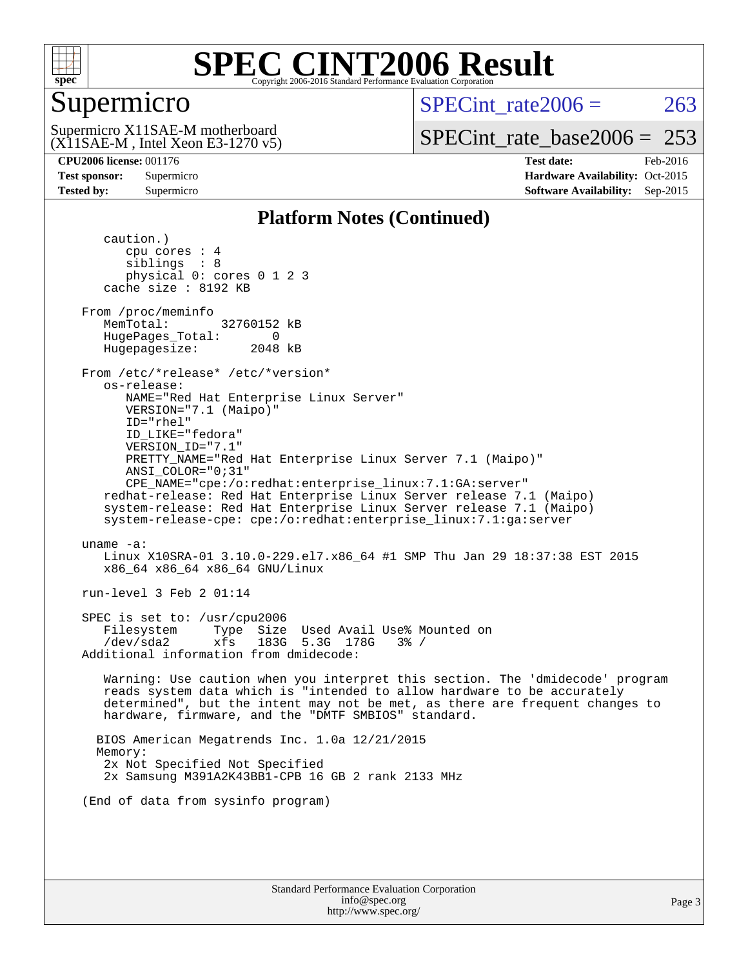

### Supermicro

SPECint rate $2006 = 263$ 

(X11SAE-M , Intel Xeon E3-1270 v5) Supermicro X11SAE-M motherboard

[SPECint\\_rate\\_base2006 =](http://www.spec.org/auto/cpu2006/Docs/result-fields.html#SPECintratebase2006)  $253$ 

**[CPU2006 license:](http://www.spec.org/auto/cpu2006/Docs/result-fields.html#CPU2006license)** 001176 **[Test date:](http://www.spec.org/auto/cpu2006/Docs/result-fields.html#Testdate)** Feb-2016 **[Test sponsor:](http://www.spec.org/auto/cpu2006/Docs/result-fields.html#Testsponsor)** Supermicro Supermicro **[Hardware Availability:](http://www.spec.org/auto/cpu2006/Docs/result-fields.html#HardwareAvailability)** Oct-2015 **[Tested by:](http://www.spec.org/auto/cpu2006/Docs/result-fields.html#Testedby)** Supermicro **Supermicro [Software Availability:](http://www.spec.org/auto/cpu2006/Docs/result-fields.html#SoftwareAvailability)** Sep-2015

### **[Platform Notes \(Continued\)](http://www.spec.org/auto/cpu2006/Docs/result-fields.html#PlatformNotes)**

 caution.) cpu cores : 4 siblings : 8 physical 0: cores 0 1 2 3 cache size : 8192 KB From /proc/meminfo MemTotal: 32760152 kB HugePages\_Total: 0<br>Hugepagesize: 2048 kB Hugepagesize: From /etc/\*release\* /etc/\*version\* os-release: NAME="Red Hat Enterprise Linux Server" VERSION="7.1 (Maipo)" ID="rhel" ID\_LIKE="fedora" VERSION\_ID="7.1" PRETTY\_NAME="Red Hat Enterprise Linux Server 7.1 (Maipo)" ANSI\_COLOR="0;31" CPE\_NAME="cpe:/o:redhat:enterprise\_linux:7.1:GA:server" redhat-release: Red Hat Enterprise Linux Server release 7.1 (Maipo) system-release: Red Hat Enterprise Linux Server release 7.1 (Maipo) system-release-cpe: cpe:/o:redhat:enterprise\_linux:7.1:ga:server uname -a: Linux X10SRA-01 3.10.0-229.el7.x86\_64 #1 SMP Thu Jan 29 18:37:38 EST 2015 x86\_64 x86\_64 x86\_64 GNU/Linux run-level 3 Feb 2 01:14 SPEC is set to: /usr/cpu2006 Filesystem Type Size Used Avail Use% Mounted on /dev/sda2 xfs 183G 5.3G 178G 3% / Additional information from dmidecode: Warning: Use caution when you interpret this section. The 'dmidecode' program reads system data which is "intended to allow hardware to be accurately determined", but the intent may not be met, as there are frequent changes to hardware, firmware, and the "DMTF SMBIOS" standard. BIOS American Megatrends Inc. 1.0a 12/21/2015 Memory: 2x Not Specified Not Specified 2x Samsung M391A2K43BB1-CPB 16 GB 2 rank 2133 MHz (End of data from sysinfo program)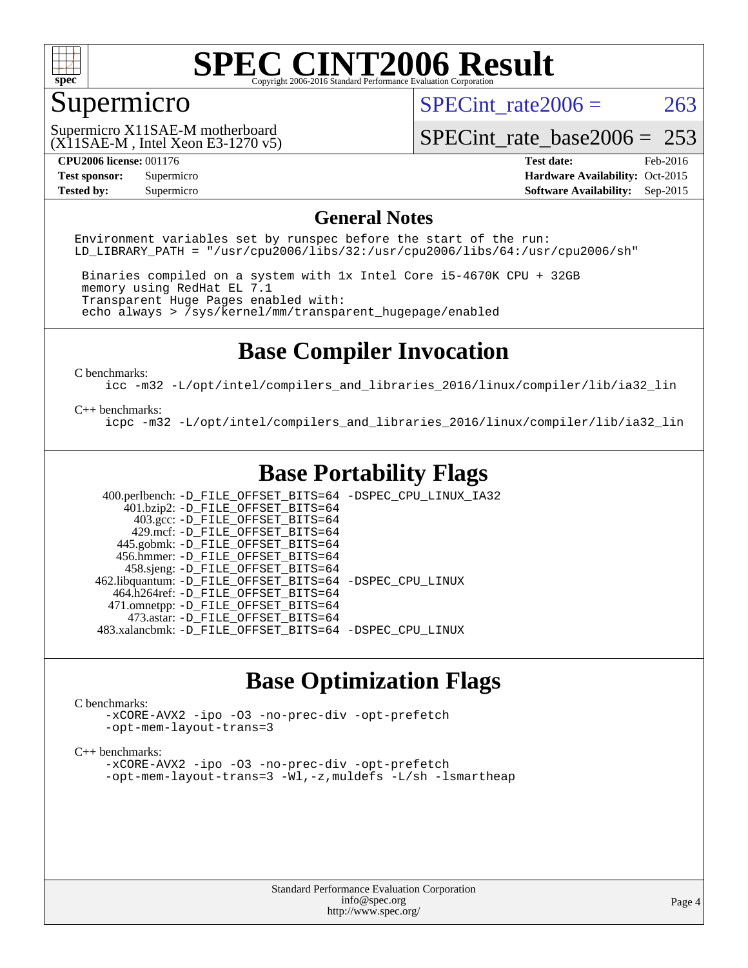

### Supermicro

SPECint rate $2006 = 263$ 

(X11SAE-M , Intel Xeon E3-1270 v5) Supermicro X11SAE-M motherboard

[SPECint\\_rate\\_base2006 =](http://www.spec.org/auto/cpu2006/Docs/result-fields.html#SPECintratebase2006) 253

**[CPU2006 license:](http://www.spec.org/auto/cpu2006/Docs/result-fields.html#CPU2006license)** 001176 **[Test date:](http://www.spec.org/auto/cpu2006/Docs/result-fields.html#Testdate)** Feb-2016 **[Test sponsor:](http://www.spec.org/auto/cpu2006/Docs/result-fields.html#Testsponsor)** Supermicro Supermicro **[Hardware Availability:](http://www.spec.org/auto/cpu2006/Docs/result-fields.html#HardwareAvailability)** Oct-2015 **[Tested by:](http://www.spec.org/auto/cpu2006/Docs/result-fields.html#Testedby)** Supermicro **Supermicro [Software Availability:](http://www.spec.org/auto/cpu2006/Docs/result-fields.html#SoftwareAvailability)** Sep-2015

### **[General Notes](http://www.spec.org/auto/cpu2006/Docs/result-fields.html#GeneralNotes)**

Environment variables set by runspec before the start of the run: LD LIBRARY PATH = "/usr/cpu2006/libs/32:/usr/cpu2006/libs/64:/usr/cpu2006/sh"

 Binaries compiled on a system with 1x Intel Core i5-4670K CPU + 32GB memory using RedHat EL 7.1 Transparent Huge Pages enabled with: echo always > /sys/kernel/mm/transparent\_hugepage/enabled

### **[Base Compiler Invocation](http://www.spec.org/auto/cpu2006/Docs/result-fields.html#BaseCompilerInvocation)**

[C benchmarks](http://www.spec.org/auto/cpu2006/Docs/result-fields.html#Cbenchmarks):

[icc -m32 -L/opt/intel/compilers\\_and\\_libraries\\_2016/linux/compiler/lib/ia32\\_lin](http://www.spec.org/cpu2006/results/res2016q1/cpu2006-20160206-38984.flags.html#user_CCbase_intel_icc_e10256ba5924b668798078a321b0cb3f)

#### [C++ benchmarks:](http://www.spec.org/auto/cpu2006/Docs/result-fields.html#CXXbenchmarks)

[icpc -m32 -L/opt/intel/compilers\\_and\\_libraries\\_2016/linux/compiler/lib/ia32\\_lin](http://www.spec.org/cpu2006/results/res2016q1/cpu2006-20160206-38984.flags.html#user_CXXbase_intel_icpc_b4f50a394bdb4597aa5879c16bc3f5c5)

### **[Base Portability Flags](http://www.spec.org/auto/cpu2006/Docs/result-fields.html#BasePortabilityFlags)**

 400.perlbench: [-D\\_FILE\\_OFFSET\\_BITS=64](http://www.spec.org/cpu2006/results/res2016q1/cpu2006-20160206-38984.flags.html#user_basePORTABILITY400_perlbench_file_offset_bits_64_438cf9856305ebd76870a2c6dc2689ab) [-DSPEC\\_CPU\\_LINUX\\_IA32](http://www.spec.org/cpu2006/results/res2016q1/cpu2006-20160206-38984.flags.html#b400.perlbench_baseCPORTABILITY_DSPEC_CPU_LINUX_IA32)  $401.bzip2: -D$ FILE\_OFFSET\_BITS=64 403.gcc: [-D\\_FILE\\_OFFSET\\_BITS=64](http://www.spec.org/cpu2006/results/res2016q1/cpu2006-20160206-38984.flags.html#user_basePORTABILITY403_gcc_file_offset_bits_64_438cf9856305ebd76870a2c6dc2689ab) 429.mcf: [-D\\_FILE\\_OFFSET\\_BITS=64](http://www.spec.org/cpu2006/results/res2016q1/cpu2006-20160206-38984.flags.html#user_basePORTABILITY429_mcf_file_offset_bits_64_438cf9856305ebd76870a2c6dc2689ab) 445.gobmk: [-D\\_FILE\\_OFFSET\\_BITS=64](http://www.spec.org/cpu2006/results/res2016q1/cpu2006-20160206-38984.flags.html#user_basePORTABILITY445_gobmk_file_offset_bits_64_438cf9856305ebd76870a2c6dc2689ab) 456.hmmer: [-D\\_FILE\\_OFFSET\\_BITS=64](http://www.spec.org/cpu2006/results/res2016q1/cpu2006-20160206-38984.flags.html#user_basePORTABILITY456_hmmer_file_offset_bits_64_438cf9856305ebd76870a2c6dc2689ab) 458.sjeng: [-D\\_FILE\\_OFFSET\\_BITS=64](http://www.spec.org/cpu2006/results/res2016q1/cpu2006-20160206-38984.flags.html#user_basePORTABILITY458_sjeng_file_offset_bits_64_438cf9856305ebd76870a2c6dc2689ab) 462.libquantum: [-D\\_FILE\\_OFFSET\\_BITS=64](http://www.spec.org/cpu2006/results/res2016q1/cpu2006-20160206-38984.flags.html#user_basePORTABILITY462_libquantum_file_offset_bits_64_438cf9856305ebd76870a2c6dc2689ab) [-DSPEC\\_CPU\\_LINUX](http://www.spec.org/cpu2006/results/res2016q1/cpu2006-20160206-38984.flags.html#b462.libquantum_baseCPORTABILITY_DSPEC_CPU_LINUX) 464.h264ref: [-D\\_FILE\\_OFFSET\\_BITS=64](http://www.spec.org/cpu2006/results/res2016q1/cpu2006-20160206-38984.flags.html#user_basePORTABILITY464_h264ref_file_offset_bits_64_438cf9856305ebd76870a2c6dc2689ab) 471.omnetpp: [-D\\_FILE\\_OFFSET\\_BITS=64](http://www.spec.org/cpu2006/results/res2016q1/cpu2006-20160206-38984.flags.html#user_basePORTABILITY471_omnetpp_file_offset_bits_64_438cf9856305ebd76870a2c6dc2689ab) 473.astar: [-D\\_FILE\\_OFFSET\\_BITS=64](http://www.spec.org/cpu2006/results/res2016q1/cpu2006-20160206-38984.flags.html#user_basePORTABILITY473_astar_file_offset_bits_64_438cf9856305ebd76870a2c6dc2689ab) 483.xalancbmk: [-D\\_FILE\\_OFFSET\\_BITS=64](http://www.spec.org/cpu2006/results/res2016q1/cpu2006-20160206-38984.flags.html#user_basePORTABILITY483_xalancbmk_file_offset_bits_64_438cf9856305ebd76870a2c6dc2689ab) [-DSPEC\\_CPU\\_LINUX](http://www.spec.org/cpu2006/results/res2016q1/cpu2006-20160206-38984.flags.html#b483.xalancbmk_baseCXXPORTABILITY_DSPEC_CPU_LINUX)

### **[Base Optimization Flags](http://www.spec.org/auto/cpu2006/Docs/result-fields.html#BaseOptimizationFlags)**

#### [C benchmarks](http://www.spec.org/auto/cpu2006/Docs/result-fields.html#Cbenchmarks):

[-xCORE-AVX2](http://www.spec.org/cpu2006/results/res2016q1/cpu2006-20160206-38984.flags.html#user_CCbase_f-xAVX2_5f5fc0cbe2c9f62c816d3e45806c70d7) [-ipo](http://www.spec.org/cpu2006/results/res2016q1/cpu2006-20160206-38984.flags.html#user_CCbase_f-ipo) [-O3](http://www.spec.org/cpu2006/results/res2016q1/cpu2006-20160206-38984.flags.html#user_CCbase_f-O3) [-no-prec-div](http://www.spec.org/cpu2006/results/res2016q1/cpu2006-20160206-38984.flags.html#user_CCbase_f-no-prec-div) [-opt-prefetch](http://www.spec.org/cpu2006/results/res2016q1/cpu2006-20160206-38984.flags.html#user_CCbase_f-opt-prefetch) [-opt-mem-layout-trans=3](http://www.spec.org/cpu2006/results/res2016q1/cpu2006-20160206-38984.flags.html#user_CCbase_f-opt-mem-layout-trans_a7b82ad4bd7abf52556d4961a2ae94d5)

#### [C++ benchmarks:](http://www.spec.org/auto/cpu2006/Docs/result-fields.html#CXXbenchmarks)

[-xCORE-AVX2](http://www.spec.org/cpu2006/results/res2016q1/cpu2006-20160206-38984.flags.html#user_CXXbase_f-xAVX2_5f5fc0cbe2c9f62c816d3e45806c70d7) [-ipo](http://www.spec.org/cpu2006/results/res2016q1/cpu2006-20160206-38984.flags.html#user_CXXbase_f-ipo) [-O3](http://www.spec.org/cpu2006/results/res2016q1/cpu2006-20160206-38984.flags.html#user_CXXbase_f-O3) [-no-prec-div](http://www.spec.org/cpu2006/results/res2016q1/cpu2006-20160206-38984.flags.html#user_CXXbase_f-no-prec-div) [-opt-prefetch](http://www.spec.org/cpu2006/results/res2016q1/cpu2006-20160206-38984.flags.html#user_CXXbase_f-opt-prefetch) [-opt-mem-layout-trans=3](http://www.spec.org/cpu2006/results/res2016q1/cpu2006-20160206-38984.flags.html#user_CXXbase_f-opt-mem-layout-trans_a7b82ad4bd7abf52556d4961a2ae94d5) [-Wl,-z,muldefs](http://www.spec.org/cpu2006/results/res2016q1/cpu2006-20160206-38984.flags.html#user_CXXbase_link_force_multiple1_74079c344b956b9658436fd1b6dd3a8a) [-L/sh -lsmartheap](http://www.spec.org/cpu2006/results/res2016q1/cpu2006-20160206-38984.flags.html#user_CXXbase_SmartHeap_32f6c82aa1ed9c52345d30cf6e4a0499)

> Standard Performance Evaluation Corporation [info@spec.org](mailto:info@spec.org) <http://www.spec.org/>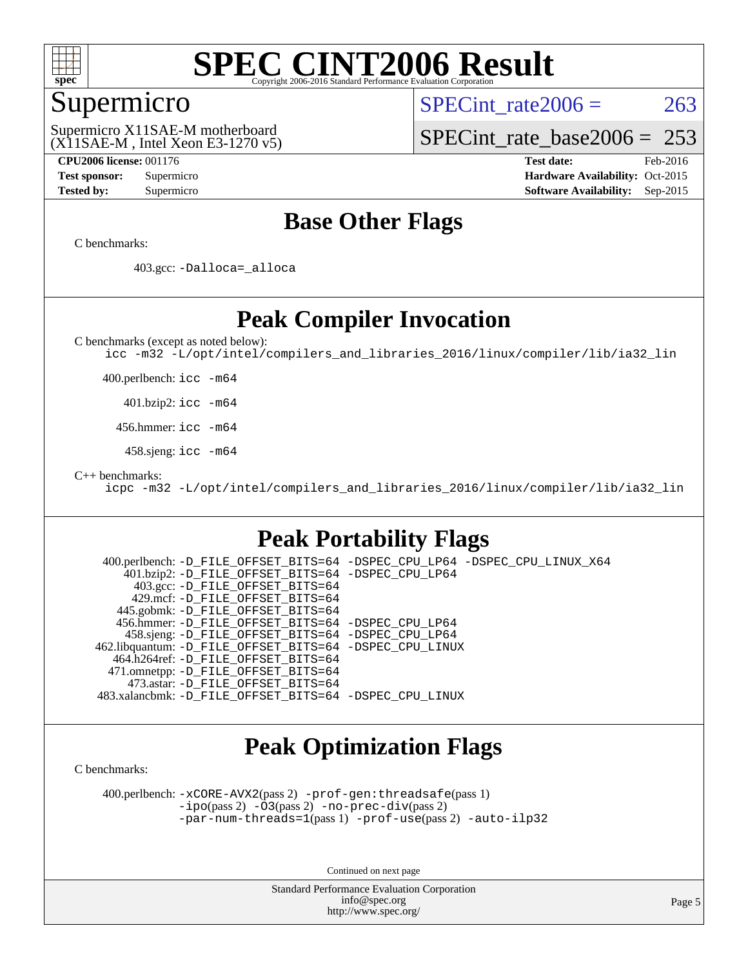

### Supermicro

SPECint rate $2006 = 263$ 

(X11SAE-M , Intel Xeon E3-1270 v5) Supermicro X11SAE-M motherboard

[SPECint\\_rate\\_base2006 =](http://www.spec.org/auto/cpu2006/Docs/result-fields.html#SPECintratebase2006) 253

**[CPU2006 license:](http://www.spec.org/auto/cpu2006/Docs/result-fields.html#CPU2006license)** 001176 **[Test date:](http://www.spec.org/auto/cpu2006/Docs/result-fields.html#Testdate)** Feb-2016 **[Test sponsor:](http://www.spec.org/auto/cpu2006/Docs/result-fields.html#Testsponsor)** Supermicro Supermicro **[Hardware Availability:](http://www.spec.org/auto/cpu2006/Docs/result-fields.html#HardwareAvailability)** Oct-2015 **[Tested by:](http://www.spec.org/auto/cpu2006/Docs/result-fields.html#Testedby)** Supermicro **Supermicro [Software Availability:](http://www.spec.org/auto/cpu2006/Docs/result-fields.html#SoftwareAvailability)** Sep-2015

### **[Base Other Flags](http://www.spec.org/auto/cpu2006/Docs/result-fields.html#BaseOtherFlags)**

[C benchmarks](http://www.spec.org/auto/cpu2006/Docs/result-fields.html#Cbenchmarks):

403.gcc: [-Dalloca=\\_alloca](http://www.spec.org/cpu2006/results/res2016q1/cpu2006-20160206-38984.flags.html#b403.gcc_baseEXTRA_CFLAGS_Dalloca_be3056838c12de2578596ca5467af7f3)

### **[Peak Compiler Invocation](http://www.spec.org/auto/cpu2006/Docs/result-fields.html#PeakCompilerInvocation)**

[C benchmarks \(except as noted below\)](http://www.spec.org/auto/cpu2006/Docs/result-fields.html#Cbenchmarksexceptasnotedbelow):

[icc -m32 -L/opt/intel/compilers\\_and\\_libraries\\_2016/linux/compiler/lib/ia32\\_lin](http://www.spec.org/cpu2006/results/res2016q1/cpu2006-20160206-38984.flags.html#user_CCpeak_intel_icc_e10256ba5924b668798078a321b0cb3f)

400.perlbench: [icc -m64](http://www.spec.org/cpu2006/results/res2016q1/cpu2006-20160206-38984.flags.html#user_peakCCLD400_perlbench_intel_icc_64bit_bda6cc9af1fdbb0edc3795bac97ada53)

401.bzip2: [icc -m64](http://www.spec.org/cpu2006/results/res2016q1/cpu2006-20160206-38984.flags.html#user_peakCCLD401_bzip2_intel_icc_64bit_bda6cc9af1fdbb0edc3795bac97ada53)

456.hmmer: [icc -m64](http://www.spec.org/cpu2006/results/res2016q1/cpu2006-20160206-38984.flags.html#user_peakCCLD456_hmmer_intel_icc_64bit_bda6cc9af1fdbb0edc3795bac97ada53)

458.sjeng: [icc -m64](http://www.spec.org/cpu2006/results/res2016q1/cpu2006-20160206-38984.flags.html#user_peakCCLD458_sjeng_intel_icc_64bit_bda6cc9af1fdbb0edc3795bac97ada53)

[C++ benchmarks:](http://www.spec.org/auto/cpu2006/Docs/result-fields.html#CXXbenchmarks)

[icpc -m32 -L/opt/intel/compilers\\_and\\_libraries\\_2016/linux/compiler/lib/ia32\\_lin](http://www.spec.org/cpu2006/results/res2016q1/cpu2006-20160206-38984.flags.html#user_CXXpeak_intel_icpc_b4f50a394bdb4597aa5879c16bc3f5c5)

### **[Peak Portability Flags](http://www.spec.org/auto/cpu2006/Docs/result-fields.html#PeakPortabilityFlags)**

 400.perlbench: [-D\\_FILE\\_OFFSET\\_BITS=64](http://www.spec.org/cpu2006/results/res2016q1/cpu2006-20160206-38984.flags.html#user_peakPORTABILITY400_perlbench_file_offset_bits_64_438cf9856305ebd76870a2c6dc2689ab) [-DSPEC\\_CPU\\_LP64](http://www.spec.org/cpu2006/results/res2016q1/cpu2006-20160206-38984.flags.html#b400.perlbench_peakCPORTABILITY_DSPEC_CPU_LP64) [-DSPEC\\_CPU\\_LINUX\\_X64](http://www.spec.org/cpu2006/results/res2016q1/cpu2006-20160206-38984.flags.html#b400.perlbench_peakCPORTABILITY_DSPEC_CPU_LINUX_X64) 401.bzip2: [-D\\_FILE\\_OFFSET\\_BITS=64](http://www.spec.org/cpu2006/results/res2016q1/cpu2006-20160206-38984.flags.html#user_peakPORTABILITY401_bzip2_file_offset_bits_64_438cf9856305ebd76870a2c6dc2689ab) [-DSPEC\\_CPU\\_LP64](http://www.spec.org/cpu2006/results/res2016q1/cpu2006-20160206-38984.flags.html#suite_peakCPORTABILITY401_bzip2_DSPEC_CPU_LP64) 403.gcc: [-D\\_FILE\\_OFFSET\\_BITS=64](http://www.spec.org/cpu2006/results/res2016q1/cpu2006-20160206-38984.flags.html#user_peakPORTABILITY403_gcc_file_offset_bits_64_438cf9856305ebd76870a2c6dc2689ab) 429.mcf: [-D\\_FILE\\_OFFSET\\_BITS=64](http://www.spec.org/cpu2006/results/res2016q1/cpu2006-20160206-38984.flags.html#user_peakPORTABILITY429_mcf_file_offset_bits_64_438cf9856305ebd76870a2c6dc2689ab) 445.gobmk: [-D\\_FILE\\_OFFSET\\_BITS=64](http://www.spec.org/cpu2006/results/res2016q1/cpu2006-20160206-38984.flags.html#user_peakPORTABILITY445_gobmk_file_offset_bits_64_438cf9856305ebd76870a2c6dc2689ab) 456.hmmer: [-D\\_FILE\\_OFFSET\\_BITS=64](http://www.spec.org/cpu2006/results/res2016q1/cpu2006-20160206-38984.flags.html#user_peakPORTABILITY456_hmmer_file_offset_bits_64_438cf9856305ebd76870a2c6dc2689ab) [-DSPEC\\_CPU\\_LP64](http://www.spec.org/cpu2006/results/res2016q1/cpu2006-20160206-38984.flags.html#suite_peakCPORTABILITY456_hmmer_DSPEC_CPU_LP64) 458.sjeng: [-D\\_FILE\\_OFFSET\\_BITS=64](http://www.spec.org/cpu2006/results/res2016q1/cpu2006-20160206-38984.flags.html#user_peakPORTABILITY458_sjeng_file_offset_bits_64_438cf9856305ebd76870a2c6dc2689ab) [-DSPEC\\_CPU\\_LP64](http://www.spec.org/cpu2006/results/res2016q1/cpu2006-20160206-38984.flags.html#suite_peakCPORTABILITY458_sjeng_DSPEC_CPU_LP64) 462.libquantum: [-D\\_FILE\\_OFFSET\\_BITS=64](http://www.spec.org/cpu2006/results/res2016q1/cpu2006-20160206-38984.flags.html#user_peakPORTABILITY462_libquantum_file_offset_bits_64_438cf9856305ebd76870a2c6dc2689ab) [-DSPEC\\_CPU\\_LINUX](http://www.spec.org/cpu2006/results/res2016q1/cpu2006-20160206-38984.flags.html#b462.libquantum_peakCPORTABILITY_DSPEC_CPU_LINUX) 464.h264ref: [-D\\_FILE\\_OFFSET\\_BITS=64](http://www.spec.org/cpu2006/results/res2016q1/cpu2006-20160206-38984.flags.html#user_peakPORTABILITY464_h264ref_file_offset_bits_64_438cf9856305ebd76870a2c6dc2689ab) 471.omnetpp: [-D\\_FILE\\_OFFSET\\_BITS=64](http://www.spec.org/cpu2006/results/res2016q1/cpu2006-20160206-38984.flags.html#user_peakPORTABILITY471_omnetpp_file_offset_bits_64_438cf9856305ebd76870a2c6dc2689ab) 473.astar: [-D\\_FILE\\_OFFSET\\_BITS=64](http://www.spec.org/cpu2006/results/res2016q1/cpu2006-20160206-38984.flags.html#user_peakPORTABILITY473_astar_file_offset_bits_64_438cf9856305ebd76870a2c6dc2689ab) 483.xalancbmk: [-D\\_FILE\\_OFFSET\\_BITS=64](http://www.spec.org/cpu2006/results/res2016q1/cpu2006-20160206-38984.flags.html#user_peakPORTABILITY483_xalancbmk_file_offset_bits_64_438cf9856305ebd76870a2c6dc2689ab) [-DSPEC\\_CPU\\_LINUX](http://www.spec.org/cpu2006/results/res2016q1/cpu2006-20160206-38984.flags.html#b483.xalancbmk_peakCXXPORTABILITY_DSPEC_CPU_LINUX)

### **[Peak Optimization Flags](http://www.spec.org/auto/cpu2006/Docs/result-fields.html#PeakOptimizationFlags)**

[C benchmarks](http://www.spec.org/auto/cpu2006/Docs/result-fields.html#Cbenchmarks):

 400.perlbench: [-xCORE-AVX2](http://www.spec.org/cpu2006/results/res2016q1/cpu2006-20160206-38984.flags.html#user_peakPASS2_CFLAGSPASS2_LDCFLAGS400_perlbench_f-xAVX2_5f5fc0cbe2c9f62c816d3e45806c70d7)(pass 2) [-prof-gen:threadsafe](http://www.spec.org/cpu2006/results/res2016q1/cpu2006-20160206-38984.flags.html#user_peakPASS1_CFLAGSPASS1_LDCFLAGS400_perlbench_prof_gen_21a26eb79f378b550acd7bec9fe4467a)(pass 1) [-ipo](http://www.spec.org/cpu2006/results/res2016q1/cpu2006-20160206-38984.flags.html#user_peakPASS2_CFLAGSPASS2_LDCFLAGS400_perlbench_f-ipo)(pass 2) [-O3](http://www.spec.org/cpu2006/results/res2016q1/cpu2006-20160206-38984.flags.html#user_peakPASS2_CFLAGSPASS2_LDCFLAGS400_perlbench_f-O3)(pass 2) [-no-prec-div](http://www.spec.org/cpu2006/results/res2016q1/cpu2006-20160206-38984.flags.html#user_peakPASS2_CFLAGSPASS2_LDCFLAGS400_perlbench_f-no-prec-div)(pass 2) [-par-num-threads=1](http://www.spec.org/cpu2006/results/res2016q1/cpu2006-20160206-38984.flags.html#user_peakPASS1_CFLAGSPASS1_LDCFLAGS400_perlbench_par_num_threads_786a6ff141b4e9e90432e998842df6c2)(pass 1) [-prof-use](http://www.spec.org/cpu2006/results/res2016q1/cpu2006-20160206-38984.flags.html#user_peakPASS2_CFLAGSPASS2_LDCFLAGS400_perlbench_prof_use_bccf7792157ff70d64e32fe3e1250b55)(pass 2) [-auto-ilp32](http://www.spec.org/cpu2006/results/res2016q1/cpu2006-20160206-38984.flags.html#user_peakCOPTIMIZE400_perlbench_f-auto-ilp32)

Continued on next page

Standard Performance Evaluation Corporation [info@spec.org](mailto:info@spec.org) <http://www.spec.org/>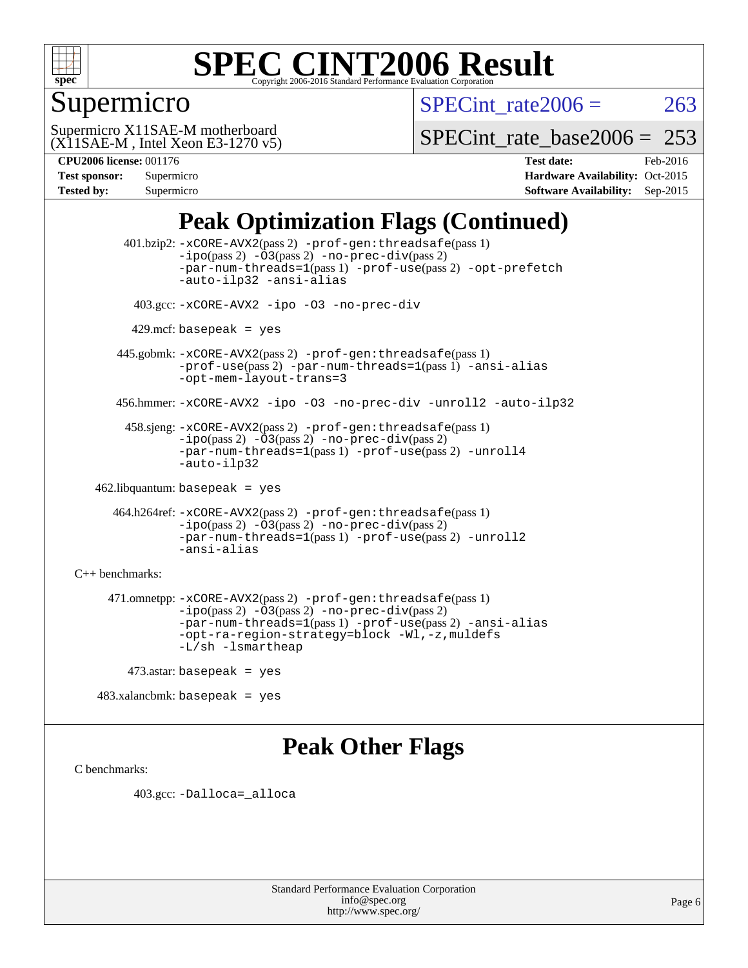

### Supermicro

SPECint rate  $2006 = 263$ 

(X11SAE-M , Intel Xeon E3-1270 v5) Supermicro X11SAE-M motherboard

[SPECint\\_rate\\_base2006 =](http://www.spec.org/auto/cpu2006/Docs/result-fields.html#SPECintratebase2006) 253

| <b>Test sponsor:</b> | Supermicro |
|----------------------|------------|
| <b>Tested by:</b>    | Supermicro |

**[CPU2006 license:](http://www.spec.org/auto/cpu2006/Docs/result-fields.html#CPU2006license)** 001176 **[Test date:](http://www.spec.org/auto/cpu2006/Docs/result-fields.html#Testdate)** Feb-2016 **[Hardware Availability:](http://www.spec.org/auto/cpu2006/Docs/result-fields.html#HardwareAvailability)** Oct-2015 **[Software Availability:](http://www.spec.org/auto/cpu2006/Docs/result-fields.html#SoftwareAvailability)** Sep-2015

### **[Peak Optimization Flags \(Continued\)](http://www.spec.org/auto/cpu2006/Docs/result-fields.html#PeakOptimizationFlags)**

 401.bzip2: [-xCORE-AVX2](http://www.spec.org/cpu2006/results/res2016q1/cpu2006-20160206-38984.flags.html#user_peakPASS2_CFLAGSPASS2_LDCFLAGS401_bzip2_f-xAVX2_5f5fc0cbe2c9f62c816d3e45806c70d7)(pass 2) [-prof-gen:threadsafe](http://www.spec.org/cpu2006/results/res2016q1/cpu2006-20160206-38984.flags.html#user_peakPASS1_CFLAGSPASS1_LDCFLAGS401_bzip2_prof_gen_21a26eb79f378b550acd7bec9fe4467a)(pass 1)  $-i\text{po}(pass 2) -\text{O3}(pass 2)$  [-no-prec-div](http://www.spec.org/cpu2006/results/res2016q1/cpu2006-20160206-38984.flags.html#user_peakPASS2_CFLAGSPASS2_LDCFLAGS401_bzip2_f-no-prec-div)(pass 2) [-par-num-threads=1](http://www.spec.org/cpu2006/results/res2016q1/cpu2006-20160206-38984.flags.html#user_peakPASS1_CFLAGSPASS1_LDCFLAGS401_bzip2_par_num_threads_786a6ff141b4e9e90432e998842df6c2)(pass 1) [-prof-use](http://www.spec.org/cpu2006/results/res2016q1/cpu2006-20160206-38984.flags.html#user_peakPASS2_CFLAGSPASS2_LDCFLAGS401_bzip2_prof_use_bccf7792157ff70d64e32fe3e1250b55)(pass 2) [-opt-prefetch](http://www.spec.org/cpu2006/results/res2016q1/cpu2006-20160206-38984.flags.html#user_peakCOPTIMIZE401_bzip2_f-opt-prefetch) [-auto-ilp32](http://www.spec.org/cpu2006/results/res2016q1/cpu2006-20160206-38984.flags.html#user_peakCOPTIMIZE401_bzip2_f-auto-ilp32) [-ansi-alias](http://www.spec.org/cpu2006/results/res2016q1/cpu2006-20160206-38984.flags.html#user_peakCOPTIMIZE401_bzip2_f-ansi-alias) 403.gcc: [-xCORE-AVX2](http://www.spec.org/cpu2006/results/res2016q1/cpu2006-20160206-38984.flags.html#user_peakCOPTIMIZE403_gcc_f-xAVX2_5f5fc0cbe2c9f62c816d3e45806c70d7) [-ipo](http://www.spec.org/cpu2006/results/res2016q1/cpu2006-20160206-38984.flags.html#user_peakCOPTIMIZE403_gcc_f-ipo) [-O3](http://www.spec.org/cpu2006/results/res2016q1/cpu2006-20160206-38984.flags.html#user_peakCOPTIMIZE403_gcc_f-O3) [-no-prec-div](http://www.spec.org/cpu2006/results/res2016q1/cpu2006-20160206-38984.flags.html#user_peakCOPTIMIZE403_gcc_f-no-prec-div)  $429$ .mcf: basepeak = yes 445.gobmk: [-xCORE-AVX2](http://www.spec.org/cpu2006/results/res2016q1/cpu2006-20160206-38984.flags.html#user_peakPASS2_CFLAGSPASS2_LDCFLAGS445_gobmk_f-xAVX2_5f5fc0cbe2c9f62c816d3e45806c70d7)(pass 2) [-prof-gen:threadsafe](http://www.spec.org/cpu2006/results/res2016q1/cpu2006-20160206-38984.flags.html#user_peakPASS1_CFLAGSPASS1_LDCFLAGS445_gobmk_prof_gen_21a26eb79f378b550acd7bec9fe4467a)(pass 1) [-prof-use](http://www.spec.org/cpu2006/results/res2016q1/cpu2006-20160206-38984.flags.html#user_peakPASS2_CFLAGSPASS2_LDCFLAGS445_gobmk_prof_use_bccf7792157ff70d64e32fe3e1250b55)(pass 2) [-par-num-threads=1](http://www.spec.org/cpu2006/results/res2016q1/cpu2006-20160206-38984.flags.html#user_peakPASS1_CFLAGSPASS1_LDCFLAGS445_gobmk_par_num_threads_786a6ff141b4e9e90432e998842df6c2)(pass 1) [-ansi-alias](http://www.spec.org/cpu2006/results/res2016q1/cpu2006-20160206-38984.flags.html#user_peakCOPTIMIZE445_gobmk_f-ansi-alias) [-opt-mem-layout-trans=3](http://www.spec.org/cpu2006/results/res2016q1/cpu2006-20160206-38984.flags.html#user_peakCOPTIMIZE445_gobmk_f-opt-mem-layout-trans_a7b82ad4bd7abf52556d4961a2ae94d5) 456.hmmer: [-xCORE-AVX2](http://www.spec.org/cpu2006/results/res2016q1/cpu2006-20160206-38984.flags.html#user_peakCOPTIMIZE456_hmmer_f-xAVX2_5f5fc0cbe2c9f62c816d3e45806c70d7) [-ipo](http://www.spec.org/cpu2006/results/res2016q1/cpu2006-20160206-38984.flags.html#user_peakCOPTIMIZE456_hmmer_f-ipo) [-O3](http://www.spec.org/cpu2006/results/res2016q1/cpu2006-20160206-38984.flags.html#user_peakCOPTIMIZE456_hmmer_f-O3) [-no-prec-div](http://www.spec.org/cpu2006/results/res2016q1/cpu2006-20160206-38984.flags.html#user_peakCOPTIMIZE456_hmmer_f-no-prec-div) [-unroll2](http://www.spec.org/cpu2006/results/res2016q1/cpu2006-20160206-38984.flags.html#user_peakCOPTIMIZE456_hmmer_f-unroll_784dae83bebfb236979b41d2422d7ec2) [-auto-ilp32](http://www.spec.org/cpu2006/results/res2016q1/cpu2006-20160206-38984.flags.html#user_peakCOPTIMIZE456_hmmer_f-auto-ilp32) 458.sjeng: [-xCORE-AVX2](http://www.spec.org/cpu2006/results/res2016q1/cpu2006-20160206-38984.flags.html#user_peakPASS2_CFLAGSPASS2_LDCFLAGS458_sjeng_f-xAVX2_5f5fc0cbe2c9f62c816d3e45806c70d7)(pass 2) [-prof-gen:threadsafe](http://www.spec.org/cpu2006/results/res2016q1/cpu2006-20160206-38984.flags.html#user_peakPASS1_CFLAGSPASS1_LDCFLAGS458_sjeng_prof_gen_21a26eb79f378b550acd7bec9fe4467a)(pass 1)  $-i\text{po}(pass 2) -\overline{O}3(pass 2)$  [-no-prec-div](http://www.spec.org/cpu2006/results/res2016q1/cpu2006-20160206-38984.flags.html#user_peakPASS2_CFLAGSPASS2_LDCFLAGS458_sjeng_f-no-prec-div)(pass 2) [-par-num-threads=1](http://www.spec.org/cpu2006/results/res2016q1/cpu2006-20160206-38984.flags.html#user_peakPASS1_CFLAGSPASS1_LDCFLAGS458_sjeng_par_num_threads_786a6ff141b4e9e90432e998842df6c2)(pass 1) [-prof-use](http://www.spec.org/cpu2006/results/res2016q1/cpu2006-20160206-38984.flags.html#user_peakPASS2_CFLAGSPASS2_LDCFLAGS458_sjeng_prof_use_bccf7792157ff70d64e32fe3e1250b55)(pass 2) [-unroll4](http://www.spec.org/cpu2006/results/res2016q1/cpu2006-20160206-38984.flags.html#user_peakCOPTIMIZE458_sjeng_f-unroll_4e5e4ed65b7fd20bdcd365bec371b81f) [-auto-ilp32](http://www.spec.org/cpu2006/results/res2016q1/cpu2006-20160206-38984.flags.html#user_peakCOPTIMIZE458_sjeng_f-auto-ilp32) 462.libquantum: basepeak = yes 464.h264ref: [-xCORE-AVX2](http://www.spec.org/cpu2006/results/res2016q1/cpu2006-20160206-38984.flags.html#user_peakPASS2_CFLAGSPASS2_LDCFLAGS464_h264ref_f-xAVX2_5f5fc0cbe2c9f62c816d3e45806c70d7)(pass 2) [-prof-gen:threadsafe](http://www.spec.org/cpu2006/results/res2016q1/cpu2006-20160206-38984.flags.html#user_peakPASS1_CFLAGSPASS1_LDCFLAGS464_h264ref_prof_gen_21a26eb79f378b550acd7bec9fe4467a)(pass 1) [-ipo](http://www.spec.org/cpu2006/results/res2016q1/cpu2006-20160206-38984.flags.html#user_peakPASS2_CFLAGSPASS2_LDCFLAGS464_h264ref_f-ipo)(pass 2) [-O3](http://www.spec.org/cpu2006/results/res2016q1/cpu2006-20160206-38984.flags.html#user_peakPASS2_CFLAGSPASS2_LDCFLAGS464_h264ref_f-O3)(pass 2) [-no-prec-div](http://www.spec.org/cpu2006/results/res2016q1/cpu2006-20160206-38984.flags.html#user_peakPASS2_CFLAGSPASS2_LDCFLAGS464_h264ref_f-no-prec-div)(pass 2) [-par-num-threads=1](http://www.spec.org/cpu2006/results/res2016q1/cpu2006-20160206-38984.flags.html#user_peakPASS1_CFLAGSPASS1_LDCFLAGS464_h264ref_par_num_threads_786a6ff141b4e9e90432e998842df6c2)(pass 1) [-prof-use](http://www.spec.org/cpu2006/results/res2016q1/cpu2006-20160206-38984.flags.html#user_peakPASS2_CFLAGSPASS2_LDCFLAGS464_h264ref_prof_use_bccf7792157ff70d64e32fe3e1250b55)(pass 2) [-unroll2](http://www.spec.org/cpu2006/results/res2016q1/cpu2006-20160206-38984.flags.html#user_peakCOPTIMIZE464_h264ref_f-unroll_784dae83bebfb236979b41d2422d7ec2) [-ansi-alias](http://www.spec.org/cpu2006/results/res2016q1/cpu2006-20160206-38984.flags.html#user_peakCOPTIMIZE464_h264ref_f-ansi-alias) [C++ benchmarks:](http://www.spec.org/auto/cpu2006/Docs/result-fields.html#CXXbenchmarks) 471.omnetpp: [-xCORE-AVX2](http://www.spec.org/cpu2006/results/res2016q1/cpu2006-20160206-38984.flags.html#user_peakPASS2_CXXFLAGSPASS2_LDCXXFLAGS471_omnetpp_f-xAVX2_5f5fc0cbe2c9f62c816d3e45806c70d7)(pass 2) [-prof-gen:threadsafe](http://www.spec.org/cpu2006/results/res2016q1/cpu2006-20160206-38984.flags.html#user_peakPASS1_CXXFLAGSPASS1_LDCXXFLAGS471_omnetpp_prof_gen_21a26eb79f378b550acd7bec9fe4467a)(pass 1)  $-ipo(pass 2) -\overline{03(pass 2)}$  $-ipo(pass 2) -\overline{03(pass 2)}$  [-no-prec-div](http://www.spec.org/cpu2006/results/res2016q1/cpu2006-20160206-38984.flags.html#user_peakPASS2_CXXFLAGSPASS2_LDCXXFLAGS471_omnetpp_f-no-prec-div)(pass 2) [-par-num-threads=1](http://www.spec.org/cpu2006/results/res2016q1/cpu2006-20160206-38984.flags.html#user_peakPASS1_CXXFLAGSPASS1_LDCXXFLAGS471_omnetpp_par_num_threads_786a6ff141b4e9e90432e998842df6c2)(pass 1) [-prof-use](http://www.spec.org/cpu2006/results/res2016q1/cpu2006-20160206-38984.flags.html#user_peakPASS2_CXXFLAGSPASS2_LDCXXFLAGS471_omnetpp_prof_use_bccf7792157ff70d64e32fe3e1250b55)(pass 2) [-ansi-alias](http://www.spec.org/cpu2006/results/res2016q1/cpu2006-20160206-38984.flags.html#user_peakCXXOPTIMIZE471_omnetpp_f-ansi-alias) [-opt-ra-region-strategy=block](http://www.spec.org/cpu2006/results/res2016q1/cpu2006-20160206-38984.flags.html#user_peakCXXOPTIMIZE471_omnetpp_f-opt-ra-region-strategy_a0a37c372d03933b2a18d4af463c1f69) [-Wl,-z,muldefs](http://www.spec.org/cpu2006/results/res2016q1/cpu2006-20160206-38984.flags.html#user_peakEXTRA_LDFLAGS471_omnetpp_link_force_multiple1_74079c344b956b9658436fd1b6dd3a8a) [-L/sh -lsmartheap](http://www.spec.org/cpu2006/results/res2016q1/cpu2006-20160206-38984.flags.html#user_peakEXTRA_LIBS471_omnetpp_SmartHeap_32f6c82aa1ed9c52345d30cf6e4a0499) 473.astar: basepeak = yes

### **[Peak Other Flags](http://www.spec.org/auto/cpu2006/Docs/result-fields.html#PeakOtherFlags)**

[C benchmarks](http://www.spec.org/auto/cpu2006/Docs/result-fields.html#Cbenchmarks):

403.gcc: [-Dalloca=\\_alloca](http://www.spec.org/cpu2006/results/res2016q1/cpu2006-20160206-38984.flags.html#b403.gcc_peakEXTRA_CFLAGS_Dalloca_be3056838c12de2578596ca5467af7f3)

483.xalancbmk: basepeak = yes